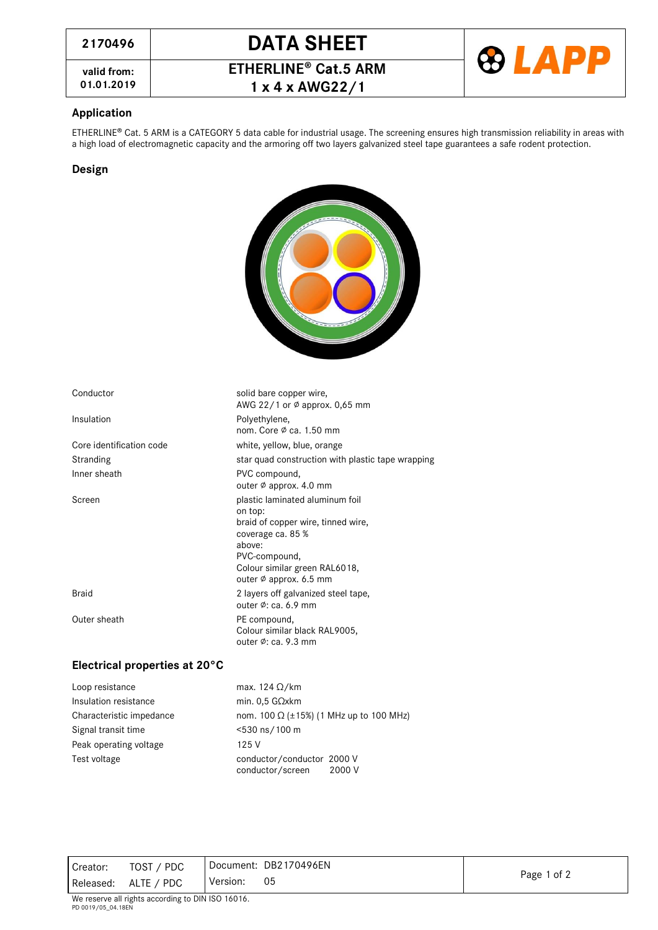**valid from:**







### **Application**

ETHERLINE® Cat. 5 ARM is a CATEGORY 5 data cable for industrial usage. The screening ensures high transmission reliability in areas with a high load of electromagnetic capacity and the armoring off two layers galvanized steel tape guarantees a safe rodent protection.

### **Design**



solid bare copper wire,

nom. Core ∅ ca. 1.50 mm

outer ∅ approx. 4.0 mm

coverage ca. 85 %

PVC-compound,

outer ∅: ca. 6.9 mm

outer ∅: ca. 9.3 mm

braid of copper wire, tinned wire,

Colour similar green RAL6018, outer ∅ approx. 6.5 mm

Colour similar black RAL9005,

on top:

above:

AWG 22/1 or ∅ approx. 0,65 mm

| Conductor |
|-----------|
|           |
|           |

Insulation **Polyethylene**,

Core identification code white, yellow, blue, orange Stranding star quad construction with plastic tape wrapping Inner sheath **PVC** compound,

Screen **plastic laminated aluminum foil** 

Braid Braid 2 layers off galvanized steel tape,

Outer sheath **PE** compound,

### **Electrical properties at 20°C**

| Loop resistance          | max. 124 $\Omega$ /km                                    |
|--------------------------|----------------------------------------------------------|
| Insulation resistance    | min. $0.5$ G $\Omega$ xkm                                |
| Characteristic impedance | nom. 100 Ω (±15%) (1 MHz up to 100 MHz)                  |
| Signal transit time      | <530 ns/100 m                                            |
| Peak operating voltage   | 125 V                                                    |
| Test voltage             | conductor/conductor 2000 V<br>conductor/screen<br>2000 V |

Creator: TOST / PDC Released: ALTE / PDC Document: DB2170496EN Version: <sup>05</sup> Page <sup>1</sup> of <sup>2</sup>